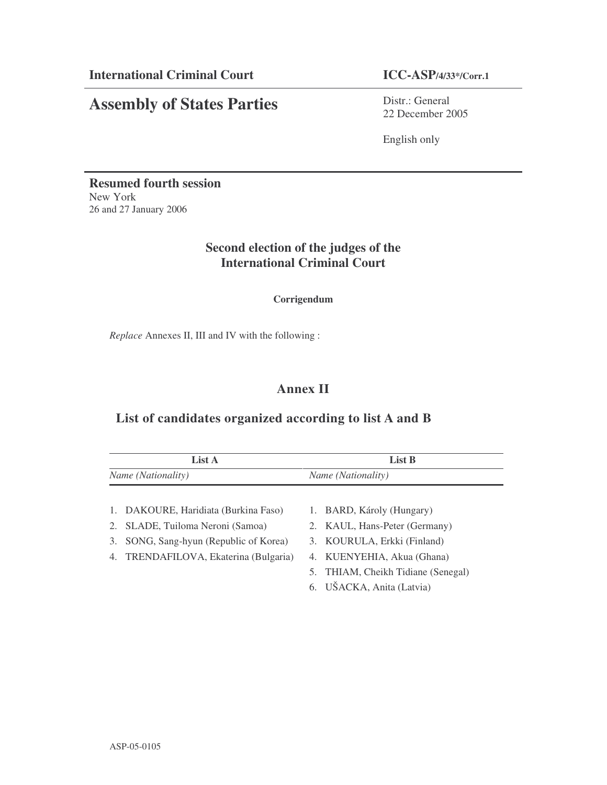# **Assembly of States Parties**

Distr.: General 22 December 2005

English only

**Resumed fourth session** New York 26 and 27 January 2006

## **Second election of the judges of the International Criminal Court**

**Corrigendum**

*Replace* Annexes II, III and IV with the following :

# **Annex II**

### **List of candidates organized according to list A and B**

| List A                             |                                      | List B                             |                                    |
|------------------------------------|--------------------------------------|------------------------------------|------------------------------------|
| <i>Name</i> ( <i>Nationality</i> ) |                                      | <i>Name</i> ( <i>Nationality</i> ) |                                    |
|                                    |                                      |                                    |                                    |
|                                    | 1. DAKOURE, Haridiata (Burkina Faso) |                                    | 1. BARD, Károly (Hungary)          |
|                                    | 2. SLADE, Tuiloma Neroni (Samoa)     |                                    | 2. KAUL, Hans-Peter (Germany)      |
| 3.                                 | SONG, Sang-hyun (Republic of Korea)  |                                    | 3. KOURULA, Erkki (Finland)        |
| 4.                                 | TRENDAFILOVA, Ekaterina (Bulgaria)   |                                    | 4. KUENYEHIA, Akua (Ghana)         |
|                                    |                                      |                                    | 5. THIAM, Cheikh Tidiane (Senegal) |
|                                    |                                      |                                    | 6. UŠACKA, Anita (Latvia)          |